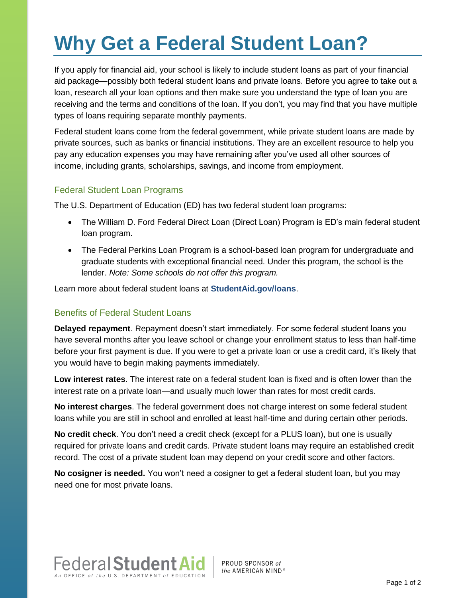## **Why Get a Federal Student Loan?**

If you apply for financial aid, your school is likely to include student loans as part of your financial aid package—possibly both federal student loans and private loans. Before you agree to take out a loan, research all your loan options and then make sure you understand the type of loan you are receiving and the terms and conditions of the loan. If you don't, you may find that you have multiple types of loans requiring separate monthly payments.

Federal student loans come from the federal government, while private student loans are made by private sources, such as banks or financial institutions. They are an excellent resource to help you pay any education expenses you may have remaining after you've used all other sources of income, including grants, scholarships, savings, and income from employment.

## Federal Student Loan Programs

The U.S. Department of Education (ED) has two federal student loan programs:

- The William D. Ford Federal Direct Loan (Direct Loan) Program is ED's main federal student loan program.
- The Federal Perkins Loan Program is a school-based loan program for undergraduate and graduate students with exceptional financial need. Under this program, the school is the lender. *Note: Some schools do not offer this program.*

Learn more about federal student loans at **[StudentAid.gov/loans](https://studentaid.ed.gov/types/loans)**.

## Benefits of Federal Student Loans

**Delayed repayment**. Repayment doesn't start immediately. For some federal student loans you have several months after you leave school or change your enrollment status to less than half-time before your first payment is due. If you were to get a private loan or use a credit card, it's likely that you would have to begin making payments immediately.

**Low interest rates**. The interest rate on a federal student loan is fixed and is often lower than the interest rate on a private loan—and usually much lower than rates for most credit cards.

**No interest charges**. The federal government does not charge interest on some federal student loans while you are still in school and enrolled at least half-time and during certain other periods.

**No credit check**. You don't need a credit check (except for a PLUS loan), but one is usually required for private loans and credit cards. Private student loans may require an established credit record. The cost of a private student loan may depend on your credit score and other factors.

**No cosigner is needed.** You won't need a cosigner to get a federal student loan, but you may need one for most private loans.



PROUD SPONSOR of the AMERICAN MIND<sup>®</sup>